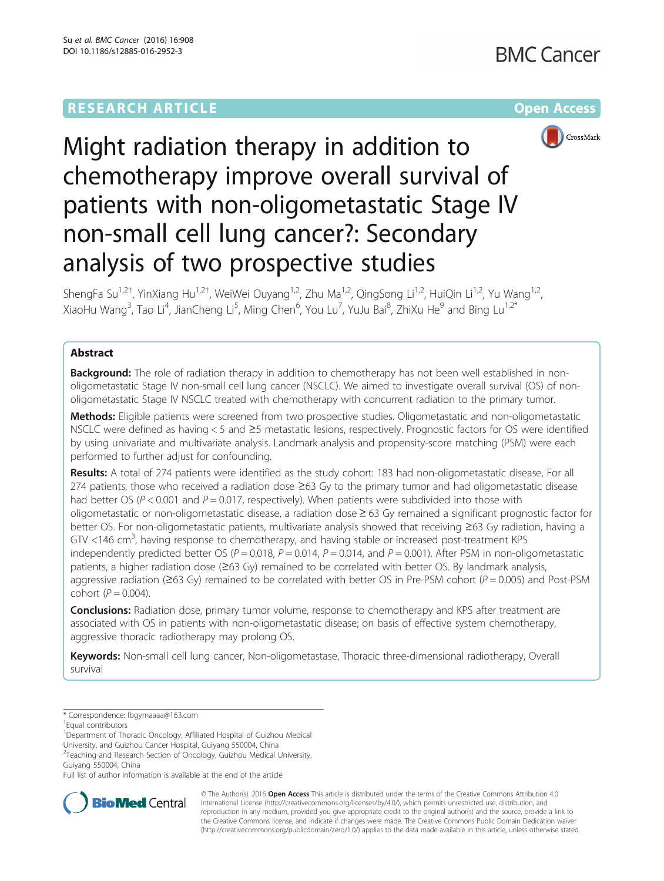

# Might radiation therapy in addition to chemotherapy improve overall survival of patients with non-oligometastatic Stage IV non-small cell lung cancer?: Secondary analysis of two prospective studies

ShengFa Su<sup>1,2†</sup>, YinXiang Hu<sup>1,2†</sup>, WeiWei Ouyang<sup>1,2</sup>, Zhu Ma<sup>1,2</sup>, QingSong Li<sup>1,2</sup>, HuiQin Li<sup>1,2</sup>, Yu Wang<sup>1,2</sup>, XiaoHu Wang<sup>3</sup>, Tao Li<sup>4</sup>, JianCheng Li<sup>5</sup>, Ming Chen<sup>6</sup>, You Lu<sup>7</sup>, YuJu Bai<sup>8</sup>, ZhiXu He<sup>9</sup> and Bing Lu<sup>1,2\*</sup>

# Abstract

**Background:** The role of radiation therapy in addition to chemotherapy has not been well established in nonoligometastatic Stage IV non-small cell lung cancer (NSCLC). We aimed to investigate overall survival (OS) of nonoligometastatic Stage IV NSCLC treated with chemotherapy with concurrent radiation to the primary tumor.

Methods: Eligible patients were screened from two prospective studies. Oligometastatic and non-oligometastatic NSCLC were defined as having < 5 and ≥5 metastatic lesions, respectively. Prognostic factors for OS were identified by using univariate and multivariate analysis. Landmark analysis and propensity-score matching (PSM) were each performed to further adjust for confounding.

Results: A total of 274 patients were identified as the study cohort: 183 had non-oligometastatic disease. For all 274 patients, those who received a radiation dose ≥63 Gy to the primary tumor and had oligometastatic disease had better OS ( $P < 0.001$  and  $P = 0.017$ , respectively). When patients were subdivided into those with oligometastatic or non-oligometastatic disease, a radiation dose ≥ 63 Gy remained a significant prognostic factor for better OS. For non-oligometastatic patients, multivariate analysis showed that receiving ≥63 Gy radiation, having a GTV <146 cm<sup>3</sup>, having response to chemotherapy, and having stable or increased post-treatment KPS independently predicted better OS ( $P = 0.018$ ,  $P = 0.014$ ,  $P = 0.014$ , and  $P = 0.001$ ). After PSM in non-oligometastatic patients, a higher radiation dose (≥63 Gy) remained to be correlated with better OS. By landmark analysis, aggressive radiation ( $\geq$ 63 Gy) remained to be correlated with better OS in Pre-PSM cohort ( $P = 0.005$ ) and Post-PSM cohort  $(P = 0.004)$ .

**Conclusions:** Radiation dose, primary tumor volume, response to chemotherapy and KPS after treatment are associated with OS in patients with non-oligometastatic disease; on basis of effective system chemotherapy, aggressive thoracic radiotherapy may prolong OS.

Keywords: Non-small cell lung cancer, Non-oligometastase, Thoracic three-dimensional radiotherapy, Overall survival

\* Correspondence: [lbgymaaaa@163.com](mailto:lbgymaaaa@163.com) †

<sup>1</sup>Department of Thoracic Oncology, Affiliated Hospital of Guizhou Medical University, and Guizhou Cancer Hospital, Guiyang 550004, China

<sup>2</sup> Teaching and Research Section of Oncology, Guizhou Medical University,

Guiyang 550004, China

Full list of author information is available at the end of the article



© The Author(s). 2016 Open Access This article is distributed under the terms of the Creative Commons Attribution 4.0 International License [\(http://creativecommons.org/licenses/by/4.0/](http://creativecommons.org/licenses/by/4.0/)), which permits unrestricted use, distribution, and reproduction in any medium, provided you give appropriate credit to the original author(s) and the source, provide a link to the Creative Commons license, and indicate if changes were made. The Creative Commons Public Domain Dedication waiver [\(http://creativecommons.org/publicdomain/zero/1.0/](http://creativecommons.org/publicdomain/zero/1.0/)) applies to the data made available in this article, unless otherwise stated.

Equal contributors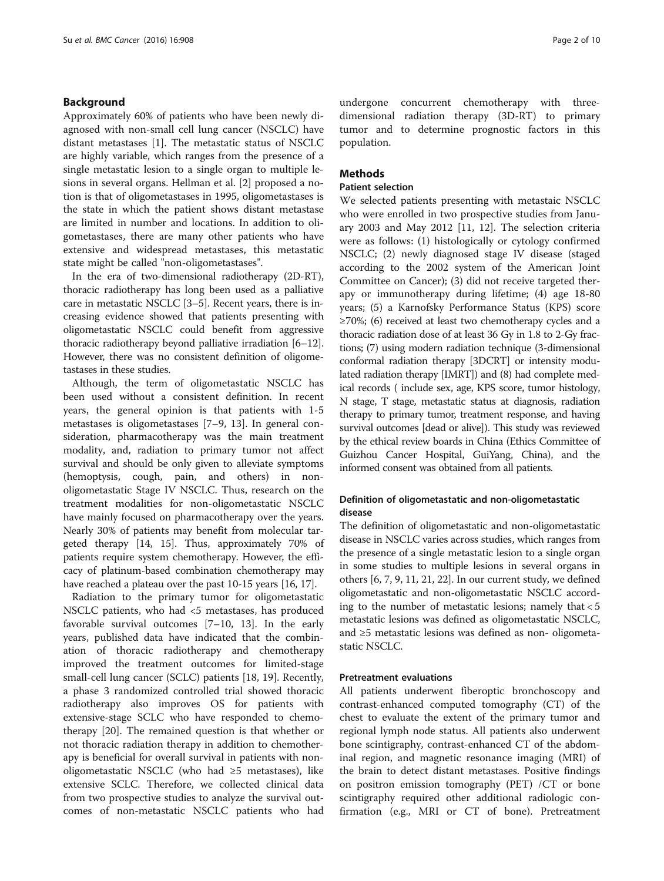# Background

Approximately 60% of patients who have been newly diagnosed with non-small cell lung cancer (NSCLC) have distant metastases [\[1](#page-8-0)]. The metastatic status of NSCLC are highly variable, which ranges from the presence of a single metastatic lesion to a single organ to multiple lesions in several organs. Hellman et al. [[2](#page-8-0)] proposed a notion is that of oligometastases in 1995, oligometastases is the state in which the patient shows distant metastase are limited in number and locations. In addition to oligometastases, there are many other patients who have extensive and widespread metastases, this metastatic state might be called "non-oligometastases".

In the era of two-dimensional radiotherapy (2D-RT), thoracic radiotherapy has long been used as a palliative care in metastatic NSCLC [\[3](#page-8-0)–[5](#page-8-0)]. Recent years, there is increasing evidence showed that patients presenting with oligometastatic NSCLC could benefit from aggressive thoracic radiotherapy beyond palliative irradiation [\[6](#page-8-0)–[12](#page-8-0)]. However, there was no consistent definition of oligometastases in these studies.

Although, the term of oligometastatic NSCLC has been used without a consistent definition. In recent years, the general opinion is that patients with 1-5 metastases is oligometastases [\[7](#page-8-0)–[9,](#page-8-0) [13\]](#page-9-0). In general consideration, pharmacotherapy was the main treatment modality, and, radiation to primary tumor not affect survival and should be only given to alleviate symptoms (hemoptysis, cough, pain, and others) in nonoligometastatic Stage IV NSCLC. Thus, research on the treatment modalities for non-oligometastatic NSCLC have mainly focused on pharmacotherapy over the years. Nearly 30% of patients may benefit from molecular targeted therapy [\[14, 15](#page-9-0)]. Thus, approximately 70% of patients require system chemotherapy. However, the efficacy of platinum-based combination chemotherapy may have reached a plateau over the past 10-15 years [\[16, 17](#page-9-0)].

Radiation to the primary tumor for oligometastatic NSCLC patients, who had <5 metastases, has produced favorable survival outcomes [[7](#page-8-0)–[10](#page-8-0), [13](#page-9-0)]. In the early years, published data have indicated that the combination of thoracic radiotherapy and chemotherapy improved the treatment outcomes for limited-stage small-cell lung cancer (SCLC) patients [[18](#page-9-0), [19](#page-9-0)]. Recently, a phase 3 randomized controlled trial showed thoracic radiotherapy also improves OS for patients with extensive-stage SCLC who have responded to chemotherapy [\[20](#page-9-0)]. The remained question is that whether or not thoracic radiation therapy in addition to chemotherapy is beneficial for overall survival in patients with nonoligometastatic NSCLC (who had ≥5 metastases), like extensive SCLC. Therefore, we collected clinical data from two prospective studies to analyze the survival outcomes of non-metastatic NSCLC patients who had undergone concurrent chemotherapy with threedimensional radiation therapy (3D-RT) to primary tumor and to determine prognostic factors in this population.

# Methods

# Patient selection

We selected patients presenting with metastaic NSCLC who were enrolled in two prospective studies from January 2003 and May 2012 [[11](#page-8-0), [12\]](#page-8-0). The selection criteria were as follows: (1) histologically or cytology confirmed NSCLC; (2) newly diagnosed stage IV disease (staged according to the 2002 system of the American Joint Committee on Cancer); (3) did not receive targeted therapy or immunotherapy during lifetime; (4) age 18-80 years; (5) a Karnofsky Performance Status (KPS) score ≥70%; (6) received at least two chemotherapy cycles and a thoracic radiation dose of at least 36 Gy in 1.8 to 2-Gy fractions; (7) using modern radiation technique (3-dimensional conformal radiation therapy [3DCRT] or intensity modulated radiation therapy [IMRT]) and (8) had complete medical records ( include sex, age, KPS score, tumor histology, N stage, T stage, metastatic status at diagnosis, radiation therapy to primary tumor, treatment response, and having survival outcomes [dead or alive]). This study was reviewed by the ethical review boards in China (Ethics Committee of Guizhou Cancer Hospital, GuiYang, China), and the informed consent was obtained from all patients.

# Definition of oligometastatic and non-oligometastatic disease

The definition of oligometastatic and non-oligometastatic disease in NSCLC varies across studies, which ranges from the presence of a single metastatic lesion to a single organ in some studies to multiple lesions in several organs in others [\[6](#page-8-0), [7, 9](#page-8-0), [11](#page-8-0), [21, 22\]](#page-9-0). In our current study, we defined oligometastatic and non-oligometastatic NSCLC according to the number of metastatic lesions; namely that < 5 metastatic lesions was defined as oligometastatic NSCLC, and ≥5 metastatic lesions was defined as non- oligometastatic NSCLC.

# Pretreatment evaluations

All patients underwent fiberoptic bronchoscopy and contrast-enhanced computed tomography (CT) of the chest to evaluate the extent of the primary tumor and regional lymph node status. All patients also underwent bone scintigraphy, contrast-enhanced CT of the abdominal region, and magnetic resonance imaging (MRI) of the brain to detect distant metastases. Positive findings on positron emission tomography (PET) /CT or bone scintigraphy required other additional radiologic confirmation (e.g., MRI or CT of bone). Pretreatment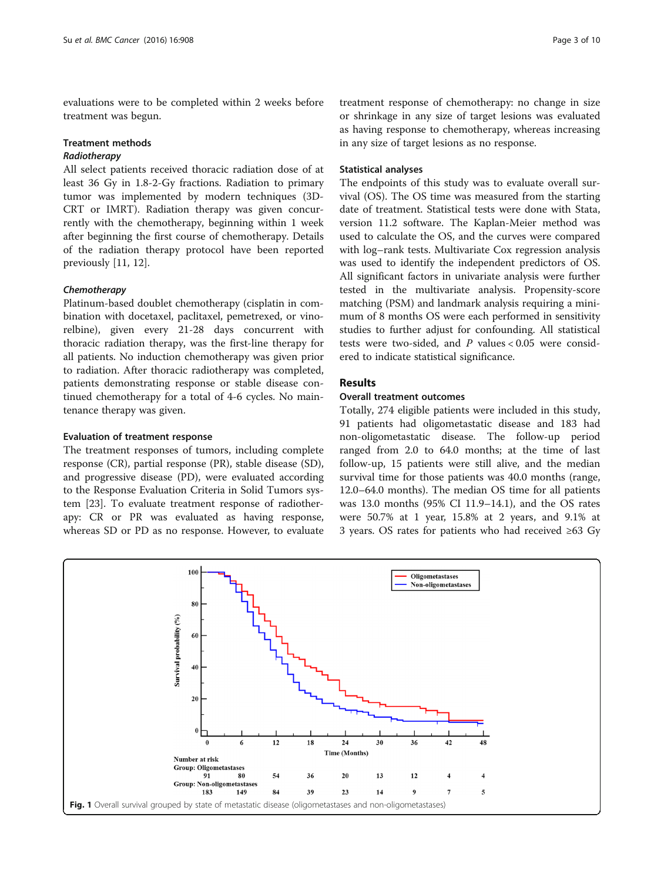<span id="page-2-0"></span>evaluations were to be completed within 2 weeks before treatment was begun.

#### Treatment methods

# Radiotherapy

All select patients received thoracic radiation dose of at least 36 Gy in 1.8-2-Gy fractions. Radiation to primary tumor was implemented by modern techniques (3D-CRT or IMRT). Radiation therapy was given concurrently with the chemotherapy, beginning within 1 week after beginning the first course of chemotherapy. Details of the radiation therapy protocol have been reported previously [\[11](#page-8-0), [12](#page-8-0)].

### **Chemotherapy**

Platinum-based doublet chemotherapy (cisplatin in combination with docetaxel, paclitaxel, pemetrexed, or vinorelbine), given every 21-28 days concurrent with thoracic radiation therapy, was the first-line therapy for all patients. No induction chemotherapy was given prior to radiation. After thoracic radiotherapy was completed, patients demonstrating response or stable disease continued chemotherapy for a total of 4-6 cycles. No maintenance therapy was given.

#### Evaluation of treatment response

The treatment responses of tumors, including complete response (CR), partial response (PR), stable disease (SD), and progressive disease (PD), were evaluated according to the Response Evaluation Criteria in Solid Tumors system [[23\]](#page-9-0). To evaluate treatment response of radiotherapy: CR or PR was evaluated as having response, whereas SD or PD as no response. However, to evaluate

treatment response of chemotherapy: no change in size or shrinkage in any size of target lesions was evaluated as having response to chemotherapy, whereas increasing in any size of target lesions as no response.

### Statistical analyses

The endpoints of this study was to evaluate overall survival (OS). The OS time was measured from the starting date of treatment. Statistical tests were done with Stata, version 11.2 software. The Kaplan-Meier method was used to calculate the OS, and the curves were compared with log–rank tests. Multivariate Cox regression analysis was used to identify the independent predictors of OS. All significant factors in univariate analysis were further tested in the multivariate analysis. Propensity-score matching (PSM) and landmark analysis requiring a minimum of 8 months OS were each performed in sensitivity studies to further adjust for confounding. All statistical tests were two-sided, and  $P$  values < 0.05 were considered to indicate statistical significance.

# Results

## Overall treatment outcomes

Totally, 274 eligible patients were included in this study, 91 patients had oligometastatic disease and 183 had non-oligometastatic disease. The follow-up period ranged from 2.0 to 64.0 months; at the time of last follow-up, 15 patients were still alive, and the median survival time for those patients was 40.0 months (range, 12.0–64.0 months). The median OS time for all patients was 13.0 months (95% CI 11.9–14.1), and the OS rates were 50.7% at 1 year, 15.8% at 2 years, and 9.1% at 3 years. OS rates for patients who had received ≥63 Gy

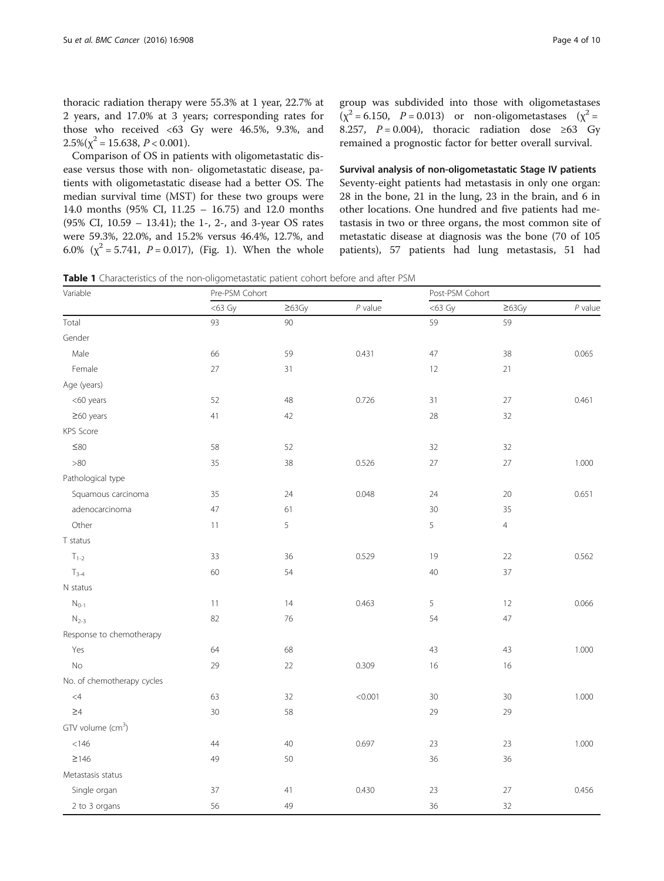<span id="page-3-0"></span>thoracic radiation therapy were 55.3% at 1 year, 22.7% at 2 years, and 17.0% at 3 years; corresponding rates for those who received <63 Gy were 46.5%, 9.3%, and  $2.5\%(\chi^2 = 15.638, P < 0.001).$ 

Comparison of OS in patients with oligometastatic disease versus those with non- oligometastatic disease, patients with oligometastatic disease had a better OS. The median survival time (MST) for these two groups were 14.0 months (95% CI, 11.25 – 16.75) and 12.0 months (95% CI, 10.59 – 13.41); the 1-, 2-, and 3-year OS rates were 59.3%, 22.0%, and 15.2% versus 46.4%, 12.7%, and 6.0% ( $\chi^2$  = 5.741, *P* = 0.017), (Fig. [1\)](#page-2-0). When the whole group was subdivided into those with oligometastases  $(x^2 = 6.150, P = 0.013)$  or non-oligometastases  $(x^2 = 1.150, P = 0.013)$ 8.257,  $P = 0.004$ ), thoracic radiation dose ≥63 Gy remained a prognostic factor for better overall survival.

Survival analysis of non-oligometastatic Stage IV patients Seventy-eight patients had metastasis in only one organ: 28 in the bone, 21 in the lung, 23 in the brain, and 6 in other locations. One hundred and five patients had metastasis in two or three organs, the most common site of metastatic disease at diagnosis was the bone (70 of 105 patients), 57 patients had lung metastasis, 51 had

Table 1 Characteristics of the non-oligometastatic patient cohort before and after PSM

| Variable                      | Pre-PSM Cohort |              |           | Post-PSM Cohort |                |           |  |
|-------------------------------|----------------|--------------|-----------|-----------------|----------------|-----------|--|
|                               | $<$ 63 Gy      | $\geq 63$ Gy | $P$ value | $<$ 63 Gy       | $\geq 63$ Gy   | $P$ value |  |
| Total                         | 93             | 90           |           | 59              | 59             |           |  |
| Gender                        |                |              |           |                 |                |           |  |
| Male                          | 66             | 59           | 0.431     | 47              | 38             | 0.065     |  |
| Female                        | 27             | 31           |           | 12              | 21             |           |  |
| Age (years)                   |                |              |           |                 |                |           |  |
| <60 years                     | 52             | 48           | 0.726     | 31              | 27             | 0.461     |  |
| $\geq$ 60 years               | 41             | 42           |           | 28              | 32             |           |  |
| KPS Score                     |                |              |           |                 |                |           |  |
| $\leq\!\!80$                  | 58             | 52           |           | 32              | 32             |           |  |
| $>\!\!80$                     | 35             | 38           | 0.526     | $27\,$          | $27\,$         | 1.000     |  |
| Pathological type             |                |              |           |                 |                |           |  |
| Squamous carcinoma            | 35             | 24           | 0.048     | 24              | $20\,$         | 0.651     |  |
| adenocarcinoma                | 47             | 61           |           | 30              | 35             |           |  |
| Other                         | $11$           | 5            |           | 5               | $\overline{4}$ |           |  |
| T status                      |                |              |           |                 |                |           |  |
| $T_{1-2}$                     | 33             | 36           | 0.529     | 19              | 22             | 0.562     |  |
| $T_{3-4}$                     | 60             | 54           |           | 40              | 37             |           |  |
| N status                      |                |              |           |                 |                |           |  |
| $N_{0-1}$                     | $11\,$         | 14           | 0.463     | 5               | 12             | 0.066     |  |
| $N_{2-3}$                     | 82             | 76           |           | 54              | 47             |           |  |
| Response to chemotherapy      |                |              |           |                 |                |           |  |
| Yes                           | 64             | 68           |           | 43              | 43             | 1.000     |  |
| $\rm No$                      | 29             | 22           | 0.309     | 16              | 16             |           |  |
| No. of chemotherapy cycles    |                |              |           |                 |                |           |  |
| $\leq 4$                      | 63             | 32           | < 0.001   | 30              | $30\,$         | 1.000     |  |
| $\geq 4$                      | 30             | 58           |           | 29              | 29             |           |  |
| GTV volume (cm <sup>3</sup> ) |                |              |           |                 |                |           |  |
| < 146                         | 44             | 40           | 0.697     | 23              | 23             | 1.000     |  |
| $\geq$ 146                    | 49             | 50           |           | 36              | 36             |           |  |
| Metastasis status             |                |              |           |                 |                |           |  |
| Single organ                  | 37             | 41           | 0.430     | 23              | 27             | 0.456     |  |
| 2 to 3 organs                 | 56             | 49           |           | 36              | 32             |           |  |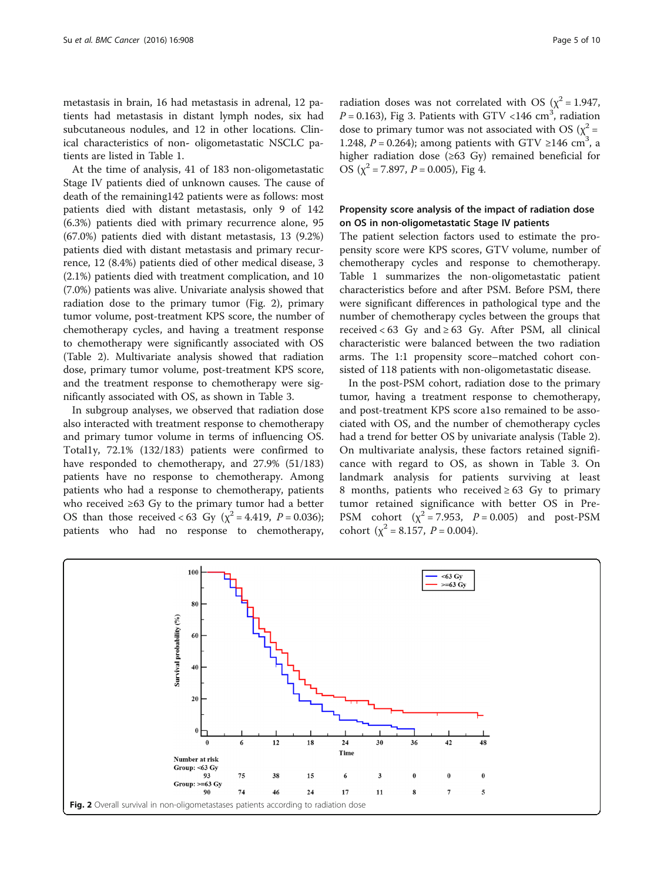metastasis in brain, 16 had metastasis in adrenal, 12 patients had metastasis in distant lymph nodes, six had subcutaneous nodules, and 12 in other locations. Clinical characteristics of non- oligometastatic NSCLC patients are listed in Table [1](#page-3-0).

At the time of analysis, 41 of 183 non-oligometastatic Stage IV patients died of unknown causes. The cause of death of the remaining142 patients were as follows: most patients died with distant metastasis, only 9 of 142 (6.3%) patients died with primary recurrence alone, 95 (67.0%) patients died with distant metastasis, 13 (9.2%) patients died with distant metastasis and primary recurrence, 12 (8.4%) patients died of other medical disease, 3 (2.1%) patients died with treatment complication, and 10 (7.0%) patients was alive. Univariate analysis showed that radiation dose to the primary tumor (Fig. 2), primary tumor volume, post-treatment KPS score, the number of chemotherapy cycles, and having a treatment response to chemotherapy were significantly associated with OS (Table [2\)](#page-5-0). Multivariate analysis showed that radiation dose, primary tumor volume, post-treatment KPS score, and the treatment response to chemotherapy were significantly associated with OS, as shown in Table [3.](#page-6-0)

In subgroup analyses, we observed that radiation dose also interacted with treatment response to chemotherapy and primary tumor volume in terms of influencing OS. Total1y, 72.1% (132/183) patients were confirmed to have responded to chemotherapy, and 27.9% (51/183) patients have no response to chemotherapy. Among patients who had a response to chemotherapy, patients who received ≥63 Gy to the primary tumor had a better OS than those received < 63 Gy ( $\chi^2$  = 4.419, P = 0.036); patients who had no response to chemotherapy,

radiation doses was not correlated with OS ( $\chi^2$  = 1.947,  $P = 0.163$ ), Fig [3.](#page-6-0) Patients with GTV <146 cm<sup>3</sup>, radiation dose to primary tumor was not associated with OS ( $\chi^2$  = 1.248,  $P = 0.264$ ); among patients with GTV ≥146 cm<sup>3</sup>, a higher radiation dose (≥63 Gy) remained beneficial for

# Propensity score analysis of the impact of radiation dose on OS in non-oligometastatic Stage IV patients

OS ( $\chi^2$  = 7.897, P = 0.005), Fig [4.](#page-7-0)

The patient selection factors used to estimate the propensity score were KPS scores, GTV volume, number of chemotherapy cycles and response to chemotherapy. Table [1](#page-3-0) summarizes the non-oligometastatic patient characteristics before and after PSM. Before PSM, there were significant differences in pathological type and the number of chemotherapy cycles between the groups that received <  $63$  Gy and  $\geq 63$  Gy. After PSM, all clinical characteristic were balanced between the two radiation arms. The 1:1 propensity score–matched cohort consisted of 118 patients with non-oligometastatic disease.

In the post-PSM cohort, radiation dose to the primary tumor, having a treatment response to chemotherapy, and post-treatment KPS score a1so remained to be associated with OS, and the number of chemotherapy cycles had a trend for better OS by univariate analysis (Table [2](#page-5-0)). On multivariate analysis, these factors retained significance with regard to OS, as shown in Table [3.](#page-6-0) On landmark analysis for patients surviving at least 8 months, patients who received  $\geq 63$  Gy to primary tumor retained significance with better OS in Pre-PSM cohort  $(\chi^2 = 7.953, P = 0.005)$  and post-PSM cohort ( $\chi^2$  = 8.157, *P* = 0.004).

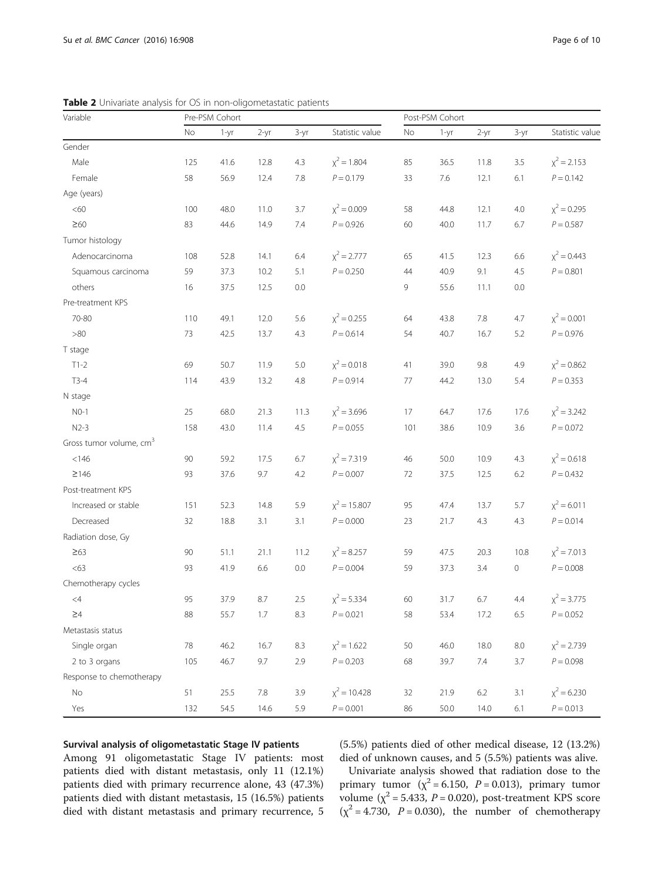| Variable                            |     | Pre-PSM Cohort |         |        |                  |     | Post-PSM Cohort |         |         |                 |  |
|-------------------------------------|-----|----------------|---------|--------|------------------|-----|-----------------|---------|---------|-----------------|--|
|                                     | No  | $1-yr$         | $2-yr$  | $3-yr$ | Statistic value  | No  | 1-yr            | $2-yr$  | $3-yr$  | Statistic value |  |
| Gender                              |     |                |         |        |                  |     |                 |         |         |                 |  |
| Male                                | 125 | 41.6           | 12.8    | 4.3    | $x^2 = 1.804$    | 85  | 36.5            | 11.8    | 3.5     | $x^2 = 2.153$   |  |
| Female                              | 58  | 56.9           | 12.4    | 7.8    | $P = 0.179$      | 33  | 7.6             | 12.1    | 6.1     | $P = 0.142$     |  |
| Age (years)                         |     |                |         |        |                  |     |                 |         |         |                 |  |
| <60                                 | 100 | 48.0           | 11.0    | 3.7    | $x^2 = 0.009$    | 58  | 44.8            | 12.1    | 4.0     | $x^2 = 0.295$   |  |
| $\geq 60$                           | 83  | 44.6           | 14.9    | 7.4    | $P = 0.926$      | 60  | 40.0            | 11.7    | 6.7     | $P = 0.587$     |  |
| Tumor histology                     |     |                |         |        |                  |     |                 |         |         |                 |  |
| Adenocarcinoma                      | 108 | 52.8           | 14.1    | 6.4    | $x^2 = 2.777$    | 65  | 41.5            | 12.3    | 6.6     | $x^2 = 0.443$   |  |
| Squamous carcinoma                  | 59  | 37.3           | 10.2    | 5.1    | $P = 0.250$      | 44  | 40.9            | 9.1     | 4.5     | $P = 0.801$     |  |
| others                              | 16  | 37.5           | 12.5    | 0.0    |                  | 9   | 55.6            | 11.1    | 0.0     |                 |  |
| Pre-treatment KPS                   |     |                |         |        |                  |     |                 |         |         |                 |  |
| 70-80                               | 110 | 49.1           | 12.0    | 5.6    | $\chi^2$ = 0.255 | 64  | 43.8            | 7.8     | 4.7     | $x^2 = 0.001$   |  |
| >80                                 | 73  | 42.5           | 13.7    | 4.3    | $P = 0.614$      | 54  | 40.7            | 16.7    | 5.2     | $P = 0.976$     |  |
| T stage                             |     |                |         |        |                  |     |                 |         |         |                 |  |
| $T1-2$                              | 69  | 50.7           | 11.9    | 5.0    | $x^2$ = 0.018    | 41  | 39.0            | 9.8     | 4.9     | $x^2 = 0.862$   |  |
| $T3-4$                              | 114 | 43.9           | 13.2    | 4.8    | $P = 0.914$      | 77  | 44.2            | 13.0    | 5.4     | $P = 0.353$     |  |
| N stage                             |     |                |         |        |                  |     |                 |         |         |                 |  |
| $NO-1$                              | 25  | 68.0           | 21.3    | 11.3   | $\chi^2$ = 3.696 | 17  | 64.7            | 17.6    | 17.6    | $x^2 = 3.242$   |  |
| $N2-3$                              | 158 | 43.0           | 11.4    | 4.5    | $P = 0.055$      | 101 | 38.6            | 10.9    | 3.6     | $P = 0.072$     |  |
| Gross tumor volume, cm <sup>3</sup> |     |                |         |        |                  |     |                 |         |         |                 |  |
| < 146                               | 90  | 59.2           | 17.5    | 6.7    | $x^2 = 7.319$    | 46  | 50.0            | 10.9    | 4.3     | $x^2 = 0.618$   |  |
| $\geq$ 146                          | 93  | 37.6           | 9.7     | 4.2    | $P = 0.007$      | 72  | 37.5            | 12.5    | 6.2     | $P = 0.432$     |  |
| Post-treatment KPS                  |     |                |         |        |                  |     |                 |         |         |                 |  |
| Increased or stable                 | 151 | 52.3           | 14.8    | 5.9    | $x^2 = 15.807$   | 95  | 47.4            | 13.7    | 5.7     | $x^2$ = 6.011   |  |
| Decreased                           | 32  | 18.8           | 3.1     | 3.1    | $P = 0.000$      | 23  | 21.7            | 4.3     | 4.3     | $P = 0.014$     |  |
| Radiation dose, Gy                  |     |                |         |        |                  |     |                 |         |         |                 |  |
| $\geq 63$                           | 90  | 51.1           | 21.1    | 11.2   | $\chi^2$ = 8.257 | 59  | 47.5            | 20.3    | 10.8    | $x^2$ = 7.013   |  |
| <63                                 | 93  | 41.9           | 6.6     | 0.0    | $P = 0.004$      | 59  | 37.3            | 3.4     | $\circ$ | $P = 0.008$     |  |
| Chemotherapy cycles                 |     |                |         |        |                  |     |                 |         |         |                 |  |
| $\leq 4$                            | 95  | 37.9           | 8.7     | 2.5    | $x^2 = 5.334$    | 60  | 31.7            | 6.7     | 4.4     | $x^2 = 3.775$   |  |
| $\geq 4$                            | 88  | 55.7           | $1.7\,$ | 8.3    | $P = 0.021$      | 58  | 53.4            | 17.2    | 6.5     | $P = 0.052$     |  |
| Metastasis status                   |     |                |         |        |                  |     |                 |         |         |                 |  |
| Single organ                        | 78  | 46.2           | 16.7    | 8.3    | $x^2 = 1.622$    | 50  | 46.0            | 18.0    | $8.0\,$ | $x^2 = 2.739$   |  |
| 2 to 3 organs                       | 105 | 46.7           | 9.7     | 2.9    | $P = 0.203$      | 68  | 39.7            | 7.4     | 3.7     | $P = 0.098$     |  |
| Response to chemotherapy            |     |                |         |        |                  |     |                 |         |         |                 |  |
| No                                  | 51  | 25.5           | $7.8\,$ | 3.9    | $x^2 = 10.428$   | 32  | 21.9            | $6.2\,$ | 3.1     | $x^2$ = 6.230   |  |
| Yes                                 | 132 | 54.5           | 14.6    | 5.9    | $P = 0.001$      | 86  | 50.0            | 14.0    | 6.1     | $P = 0.013$     |  |

<span id="page-5-0"></span>Table 2 Univariate analysis for OS in non-oligometastatic patients

### Survival analysis of oligometastatic Stage IV patients

Among 91 oligometastatic Stage IV patients: most patients died with distant metastasis, only 11 (12.1%) patients died with primary recurrence alone, 43 (47.3%) patients died with distant metastasis, 15 (16.5%) patients died with distant metastasis and primary recurrence, 5 (5.5%) patients died of other medical disease, 12 (13.2%) died of unknown causes, and 5 (5.5%) patients was alive.

Univariate analysis showed that radiation dose to the primary tumor  $(\chi^2 = 6.150, P = 0.013)$ , primary tumor volume ( $\chi^2$  = 5.433, P = 0.020), post-treatment KPS score  $(\chi^2 = 4.730, P = 0.030)$ , the number of chemotherapy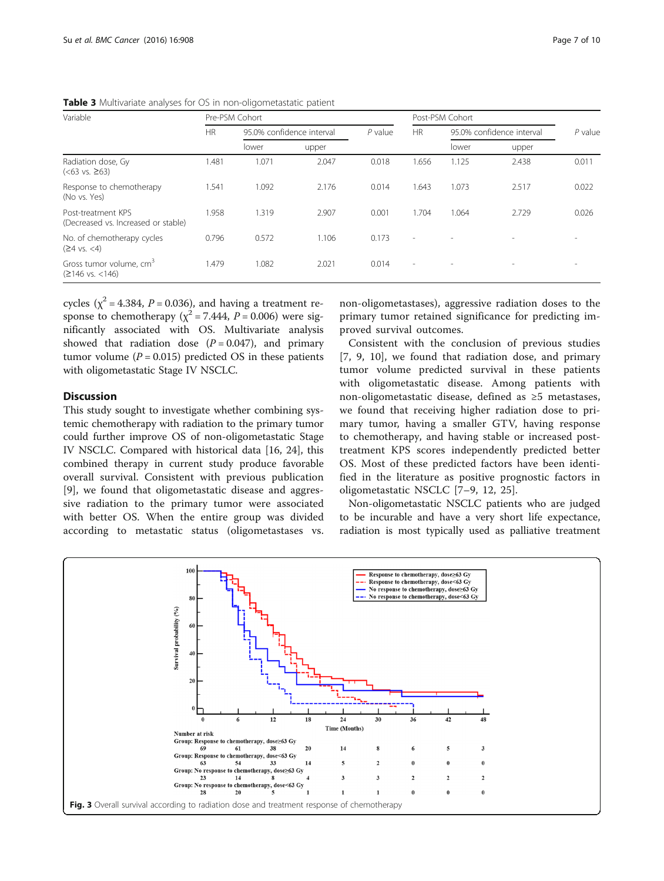| Variable                                                         | Pre-PSM Cohort |                           |       |           | Post-PSM Cohort |                           |                          |           |
|------------------------------------------------------------------|----------------|---------------------------|-------|-----------|-----------------|---------------------------|--------------------------|-----------|
|                                                                  | <b>HR</b>      | 95.0% confidence interval |       | $P$ value | <b>HR</b>       | 95.0% confidence interval |                          | $P$ value |
|                                                                  |                | lower                     | upper |           |                 | lower                     | upper                    |           |
| Radiation dose, Gy<br>$(<63$ vs. $\geq 63)$                      | 1.481          | 1.071                     | 2.047 | 0.018     | 1.656           | 1.125                     | 2.438                    | 0.011     |
| Response to chemotherapy<br>(No vs. Yes)                         | 1.541          | 1.092                     | 2.176 | 0.014     | 1.643           | 1.073                     | 2.517                    | 0.022     |
| Post-treatment KPS<br>(Decreased vs. Increased or stable)        | 1.958          | 1.319                     | 2.907 | 0.001     | 1.704           | 1.064                     | 2.729                    | 0.026     |
| No. of chemotherapy cycles<br>$(24 \text{ vs. } <4)$             | 0.796          | 0.572                     | 1.106 | 0.173     | $\sim$          |                           | $\overline{\phantom{a}}$ |           |
| Gross tumor volume, cm <sup>3</sup><br>$(2146 \text{ vs. } 146)$ | 1.479          | 1.082                     | 2.021 | 0.014     | $\sim$          |                           | $\overline{\phantom{a}}$ |           |

<span id="page-6-0"></span>Table 3 Multivariate analyses for OS in non-oligometastatic patient

cycles ( $\chi^2$  = 4.384, *P* = 0.036), and having a treatment response to chemotherapy ( $\chi^2$  = 7.444, P = 0.006) were significantly associated with OS. Multivariate analysis showed that radiation dose  $(P = 0.047)$ , and primary tumor volume ( $P = 0.015$ ) predicted OS in these patients with oligometastatic Stage IV NSCLC.

# **Discussion**

This study sought to investigate whether combining systemic chemotherapy with radiation to the primary tumor could further improve OS of non-oligometastatic Stage IV NSCLC. Compared with historical data [\[16, 24\]](#page-9-0), this combined therapy in current study produce favorable overall survival. Consistent with previous publication [[9\]](#page-8-0), we found that oligometastatic disease and aggressive radiation to the primary tumor were associated with better OS. When the entire group was divided according to metastatic status (oligometastases vs.

non-oligometastases), aggressive radiation doses to the primary tumor retained significance for predicting improved survival outcomes.

Consistent with the conclusion of previous studies [[7, 9, 10\]](#page-8-0), we found that radiation dose, and primary tumor volume predicted survival in these patients with oligometastatic disease. Among patients with non-oligometastatic disease, defined as ≥5 metastases, we found that receiving higher radiation dose to primary tumor, having a smaller GTV, having response to chemotherapy, and having stable or increased posttreatment KPS scores independently predicted better OS. Most of these predicted factors have been identified in the literature as positive prognostic factors in oligometastatic NSCLC [[7](#page-8-0)–[9, 12,](#page-8-0) [25](#page-9-0)].

Non-oligometastatic NSCLC patients who are judged to be incurable and have a very short life expectance, radiation is most typically used as palliative treatment

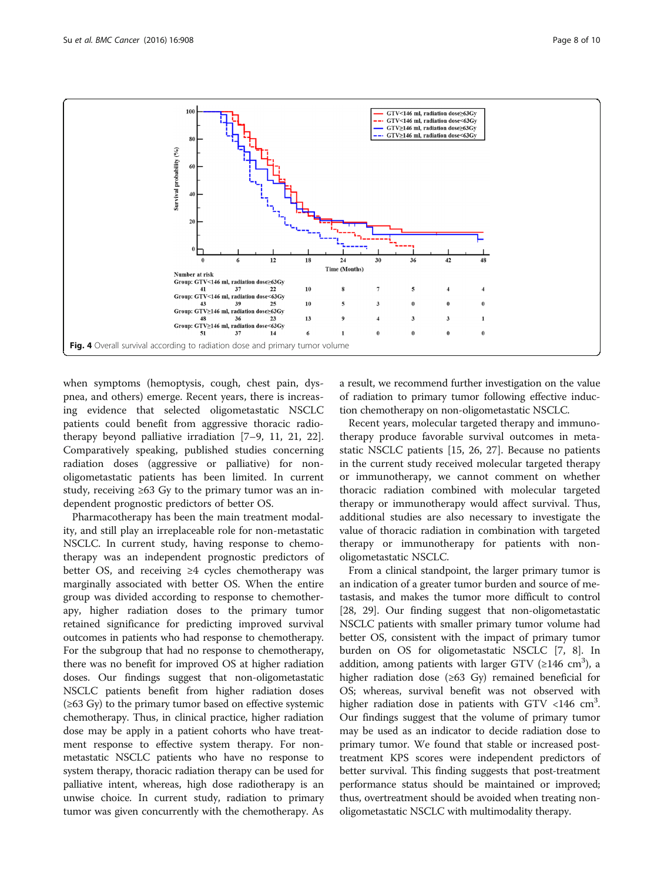<span id="page-7-0"></span>

when symptoms (hemoptysis, cough, chest pain, dyspnea, and others) emerge. Recent years, there is increasing evidence that selected oligometastatic NSCLC patients could benefit from aggressive thoracic radiotherapy beyond palliative irradiation [[7](#page-8-0)–[9, 11](#page-8-0), [21](#page-9-0), [22](#page-9-0)]. Comparatively speaking, published studies concerning radiation doses (aggressive or palliative) for nonoligometastatic patients has been limited. In current study, receiving  $\geq 63$  Gy to the primary tumor was an independent prognostic predictors of better OS.

Pharmacotherapy has been the main treatment modality, and still play an irreplaceable role for non-metastatic NSCLC. In current study, having response to chemotherapy was an independent prognostic predictors of better OS, and receiving ≥4 cycles chemotherapy was marginally associated with better OS. When the entire group was divided according to response to chemotherapy, higher radiation doses to the primary tumor retained significance for predicting improved survival outcomes in patients who had response to chemotherapy. For the subgroup that had no response to chemotherapy, there was no benefit for improved OS at higher radiation doses. Our findings suggest that non-oligometastatic NSCLC patients benefit from higher radiation doses  $(\geq 63 \text{ Gy})$  to the primary tumor based on effective systemic chemotherapy. Thus, in clinical practice, higher radiation dose may be apply in a patient cohorts who have treatment response to effective system therapy. For nonmetastatic NSCLC patients who have no response to system therapy, thoracic radiation therapy can be used for palliative intent, whereas, high dose radiotherapy is an unwise choice. In current study, radiation to primary tumor was given concurrently with the chemotherapy. As a result, we recommend further investigation on the value of radiation to primary tumor following effective induction chemotherapy on non-oligometastatic NSCLC.

Recent years, molecular targeted therapy and immunotherapy produce favorable survival outcomes in metastatic NSCLC patients [[15](#page-9-0), [26](#page-9-0), [27](#page-9-0)]. Because no patients in the current study received molecular targeted therapy or immunotherapy, we cannot comment on whether thoracic radiation combined with molecular targeted therapy or immunotherapy would affect survival. Thus, additional studies are also necessary to investigate the value of thoracic radiation in combination with targeted therapy or immunotherapy for patients with nonoligometastatic NSCLC.

From a clinical standpoint, the larger primary tumor is an indication of a greater tumor burden and source of metastasis, and makes the tumor more difficult to control [[28](#page-9-0), [29\]](#page-9-0). Our finding suggest that non-oligometastatic NSCLC patients with smaller primary tumor volume had better OS, consistent with the impact of primary tumor burden on OS for oligometastatic NSCLC [\[7](#page-8-0), [8](#page-8-0)]. In addition, among patients with larger GTV ( $\geq$ 146 cm<sup>3</sup>), a higher radiation dose (≥63 Gy) remained beneficial for OS; whereas, survival benefit was not observed with higher radiation dose in patients with GTV <146  $\text{cm}^3$ . Our findings suggest that the volume of primary tumor may be used as an indicator to decide radiation dose to primary tumor. We found that stable or increased posttreatment KPS scores were independent predictors of better survival. This finding suggests that post-treatment performance status should be maintained or improved; thus, overtreatment should be avoided when treating nonoligometastatic NSCLC with multimodality therapy.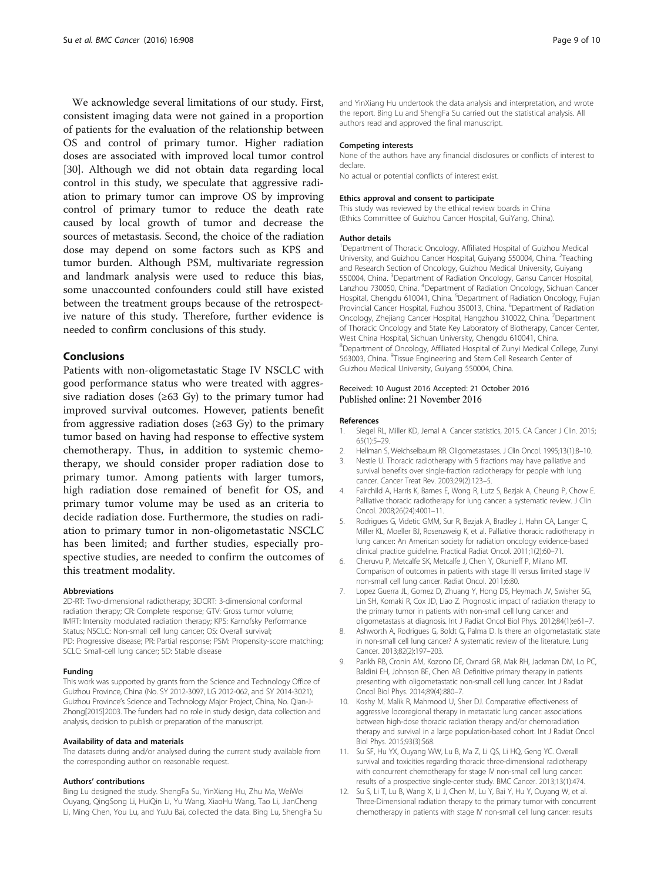<span id="page-8-0"></span>We acknowledge several limitations of our study. First, consistent imaging data were not gained in a proportion of patients for the evaluation of the relationship between OS and control of primary tumor. Higher radiation doses are associated with improved local tumor control [[30\]](#page-9-0). Although we did not obtain data regarding local control in this study, we speculate that aggressive radiation to primary tumor can improve OS by improving control of primary tumor to reduce the death rate caused by local growth of tumor and decrease the sources of metastasis. Second, the choice of the radiation dose may depend on some factors such as KPS and tumor burden. Although PSM, multivariate regression and landmark analysis were used to reduce this bias, some unaccounted confounders could still have existed between the treatment groups because of the retrospective nature of this study. Therefore, further evidence is needed to confirm conclusions of this study.

# Conclusions

Patients with non-oligometastatic Stage IV NSCLC with good performance status who were treated with aggressive radiation doses ( $\geq 63$  Gy) to the primary tumor had improved survival outcomes. However, patients benefit from aggressive radiation doses ( $\geq 63$  Gy) to the primary tumor based on having had response to effective system chemotherapy. Thus, in addition to systemic chemotherapy, we should consider proper radiation dose to primary tumor. Among patients with larger tumors, high radiation dose remained of benefit for OS, and primary tumor volume may be used as an criteria to decide radiation dose. Furthermore, the studies on radiation to primary tumor in non-oligometastatic NSCLC has been limited; and further studies, especially prospective studies, are needed to confirm the outcomes of this treatment modality.

#### Abbreviations

2D-RT: Two-dimensional radiotherapy; 3DCRT: 3-dimensional conformal radiation therapy; CR: Complete response; GTV: Gross tumor volume; IMRT: Intensity modulated radiation therapy; KPS: Karnofsky Performance Status; NSCLC: Non-small cell lung cancer; OS: Overall survival; PD: Progressive disease; PR: Partial response; PSM: Propensity-score matching; SCLC: Small-cell lung cancer; SD: Stable disease

#### Funding

This work was supported by grants from the Science and Technology Office of Guizhou Province, China (No. SY 2012-3097, LG 2012-062, and SY 2014-3021); Guizhou Province's Science and Technology Major Project, China, No. Qian-J-Zhong[2015]2003. The funders had no role in study design, data collection and analysis, decision to publish or preparation of the manuscript.

#### Availability of data and materials

The datasets during and/or analysed during the current study available from the corresponding author on reasonable request.

#### Authors' contributions

Bing Lu designed the study. ShengFa Su, YinXiang Hu, Zhu Ma, WeiWei Ouyang, QingSong Li, HuiQin Li, Yu Wang, XiaoHu Wang, Tao Li, JianCheng Li, Ming Chen, You Lu, and YuJu Bai, collected the data. Bing Lu, ShengFa Su

and YinXiang Hu undertook the data analysis and interpretation, and wrote the report. Bing Lu and ShengFa Su carried out the statistical analysis. All authors read and approved the final manuscript.

#### Competing interests

None of the authors have any financial disclosures or conflicts of interest to declare. No actual or potential conflicts of interest exist.

# Ethics approval and consent to participate

This study was reviewed by the ethical review boards in China (Ethics Committee of Guizhou Cancer Hospital, GuiYang, China).

#### Author details

<sup>1</sup>Department of Thoracic Oncology, Affiliated Hospital of Guizhou Medical University, and Guizhou Cancer Hospital, Guiyang 550004, China. <sup>2</sup>Teaching and Research Section of Oncology, Guizhou Medical University, Guiyang 550004, China. <sup>3</sup>Department of Radiation Oncology, Gansu Cancer Hospital, Lanzhou 730050, China. <sup>4</sup>Department of Radiation Oncology, Sichuan Cancer Hospital, Chengdu 610041, China. <sup>5</sup>Department of Radiation Oncology, Fujian Provincial Cancer Hospital, Fuzhou 350013, China. <sup>6</sup>Department of Radiation Oncology, Zhejiang Cancer Hospital, Hangzhou 310022, China. <sup>7</sup>Department of Thoracic Oncology and State Key Laboratory of Biotherapy, Cancer Center, West China Hospital, Sichuan University, Chengdu 610041, China. 8 Department of Oncology, Affiliated Hospital of Zunyi Medical College, Zunyi 563003, China. <sup>9</sup> Tissue Engineering and Stem Cell Research Center of Guizhou Medical University, Guiyang 550004, China.

#### Received: 10 August 2016 Accepted: 21 October 2016 Published online: 21 November 2016

#### References

- 1. Siegel RL, Miller KD, Jemal A. Cancer statistics, 2015. CA Cancer J Clin. 2015; 65(1):5–29.
- 2. Hellman S, Weichselbaum RR. Oligometastases. J Clin Oncol. 1995;13(1):8–10.
- 3. Nestle U. Thoracic radiotherapy with 5 fractions may have palliative and survival benefits over single-fraction radiotherapy for people with lung cancer. Cancer Treat Rev. 2003;29(2):123–5.
- 4. Fairchild A, Harris K, Barnes E, Wong R, Lutz S, Bezjak A, Cheung P, Chow E. Palliative thoracic radiotherapy for lung cancer: a systematic review. J Clin Oncol. 2008;26(24):4001–11.
- 5. Rodrigues G, Videtic GMM, Sur R, Bezjak A, Bradley J, Hahn CA, Langer C, Miller KL, Moeller BJ, Rosenzweig K, et al. Palliative thoracic radiotherapy in lung cancer: An American society for radiation oncology evidence-based clinical practice guideline. Practical Radiat Oncol. 2011;1(2):60–71.
- 6. Cheruvu P, Metcalfe SK, Metcalfe J, Chen Y, Okunieff P, Milano MT. Comparison of outcomes in patients with stage III versus limited stage IV non-small cell lung cancer. Radiat Oncol. 2011;6:80.
- 7. Lopez Guerra JL, Gomez D, Zhuang Y, Hong DS, Heymach JV, Swisher SG, Lin SH, Komaki R, Cox JD, Liao Z. Prognostic impact of radiation therapy to the primary tumor in patients with non-small cell lung cancer and oligometastasis at diagnosis. Int J Radiat Oncol Biol Phys. 2012;84(1):e61–7.
- 8. Ashworth A, Rodrigues G, Boldt G, Palma D. Is there an oligometastatic state in non-small cell lung cancer? A systematic review of the literature. Lung Cancer. 2013;82(2):197–203.
- 9. Parikh RB, Cronin AM, Kozono DE, Oxnard GR, Mak RH, Jackman DM, Lo PC, Baldini EH, Johnson BE, Chen AB. Definitive primary therapy in patients presenting with oligometastatic non-small cell lung cancer. Int J Radiat Oncol Biol Phys. 2014;89(4):880–7.
- 10. Koshy M, Malik R, Mahmood U, Sher DJ. Comparative effectiveness of aggressive locoregional therapy in metastatic lung cancer: associations between high-dose thoracic radiation therapy and/or chemoradiation therapy and survival in a large population-based cohort. Int J Radiat Oncol Biol Phys. 2015;93(3):S68.
- 11. Su SF, Hu YX, Ouyang WW, Lu B, Ma Z, Li QS, Li HQ, Geng YC. Overall survival and toxicities regarding thoracic three-dimensional radiotherapy with concurrent chemotherapy for stage IV non-small cell lung cancer: results of a prospective single-center study. BMC Cancer. 2013;13(1):474.
- 12. Su S, Li T, Lu B, Wang X, Li J, Chen M, Lu Y, Bai Y, Hu Y, Ouyang W, et al. Three-Dimensional radiation therapy to the primary tumor with concurrent chemotherapy in patients with stage IV non-small cell lung cancer: results